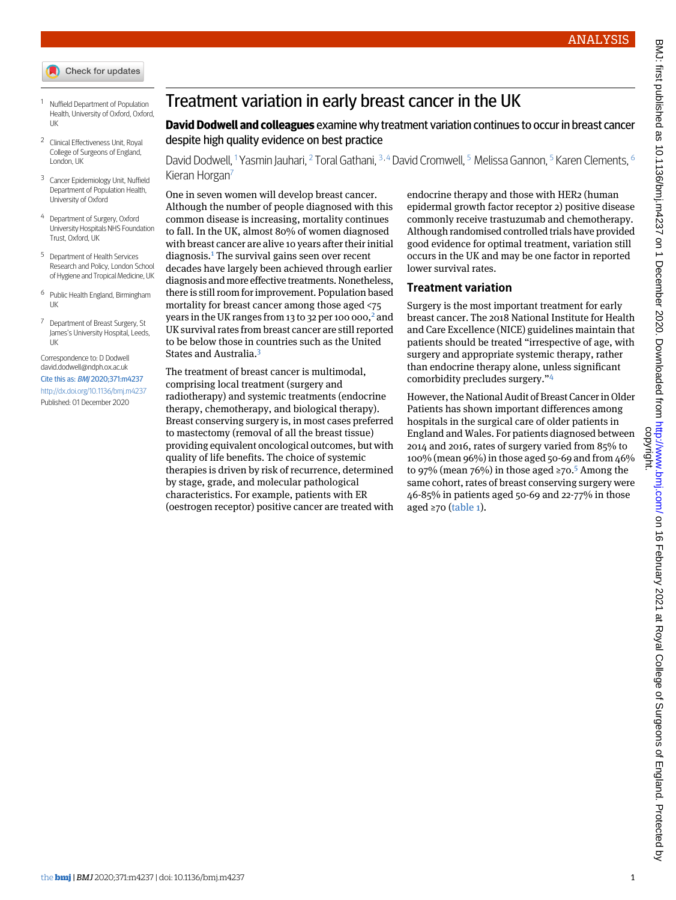- Check for updates
- <span id="page-0-1"></span><span id="page-0-0"></span><sup>1</sup> Nuffield Department of Population Health, University of Oxford, Oxford, UK
- <span id="page-0-2"></span><sup>2</sup> Clinical Effectiveness Unit, Royal College of Surgeons of England, London, UK
- <span id="page-0-3"></span><sup>3</sup> Cancer Epidemiology Unit, Nuffield Department of Population Health, University of Oxford
- <span id="page-0-4"></span><sup>4</sup> Department of Surgery, Oxford University Hospitals NHS Foundation Trust, Oxford, UK
- <span id="page-0-5"></span><sup>5</sup> Department of Health Services Research and Policy, London School of Hygiene and Tropical Medicine, UK
- <span id="page-0-6"></span><sup>6</sup> Public Health England, Birmingham UK
- <sup>7</sup> Department of Breast Surgery, St James's University Hospital, Leeds, UK

#### Correspondence to: D Dodwell [david.dodwell@ndph.ox.ac.uk](mailto:david.dodwell@ndph.ox.ac.uk) Cite this as: BMJ 2020;371:m4237 <http://dx.doi.org/10.1136/bmj.m4237> Published: 01 December 2020

# Treatment variation in early breast cancer in the UK

**David Dodwell and colleagues** examine why treatment variation continues to occur in breast cancer despite high quality evidence on best practice

David Dodwell, <sup>[1](#page-0-0)</sup> Yasmin Jauhari, <sup>[2](#page-0-1)</sup> Toral Gathani, <sup>[3](#page-0-2), [4](#page-0-3)</sup> David Cromwell, <sup>[5](#page-0-4)</sup> Melissa Gannon, <sup>5</sup> Karen Clements, <sup>[6](#page-0-5)</sup> Kieran Horgan<sup>[7](#page-0-6)</sup>

One in seven women will develop breast cancer. Although the number of people diagnosed with this common disease is increasing, mortality continues to fall. In the UK, almost 80% of women diagnosed with breast cancer are alive 10 years after their initial diagnosis.<sup>[1](#page-3-0)</sup> The survival gains seen over recent decades have largely been achieved through earlier diagnosis and more effective treatments. Nonetheless, there is still room for improvement. Population based mortality for breast cancer among those aged <75 years in the UK ranges from 13 to 3[2](#page-3-1) per 100 000, $^2$  and UK survival rates from breast cancer are still reported to be below those in countries such as the United States and Australia.[3](#page-4-0)

The treatment of breast cancer is multimodal, comprising local treatment (surgery and radiotherapy) and systemic treatments (endocrine therapy, chemotherapy, and biological therapy). Breast conserving surgery is, in most cases preferred to mastectomy (removal of all the breast tissue) providing equivalent oncological outcomes, but with quality of life benefits. The choice of systemic therapies is driven by risk of recurrence, determined by stage, grade, and molecular pathological characteristics. For example, patients with ER (oestrogen receptor) positive cancer are treated with

endocrine therapy and those with HER2 (human epidermal growth factor receptor 2) positive disease commonly receive trastuzumab and chemotherapy. Although randomised controlled trials have provided good evidence for optimal treatment, variation still occurs in the UK and may be one factor in reported lower survival rates.

### **Treatment variation**

Surgery is the most important treatment for early breast cancer. The 2018 National Institute for Health and Care Excellence (NICE) guidelines maintain that patients should be treated "irrespective of age, with surgery and appropriate systemic therapy, rather than endocrine therapy alone, unless significant comorbidity precludes surgery." [4](#page-4-1)

However, the National Audit of Breast Cancer in Older Patients has shown important differences among hospitals in the surgical care of older patients in England and Wales. For patients diagnosed between 2014 and 2016, rates of surgery varied from 85% to 100% (mean 96%) in those aged 50-69 and from 46% to 97% (mean 76%) in those aged  $\geq 70.5$  $\geq 70.5$  Among the same cohort, rates of breast conserving surgery were 46-85% in patients aged 50-69 and 22-77% in those aged ≥70 (table  $1$ ).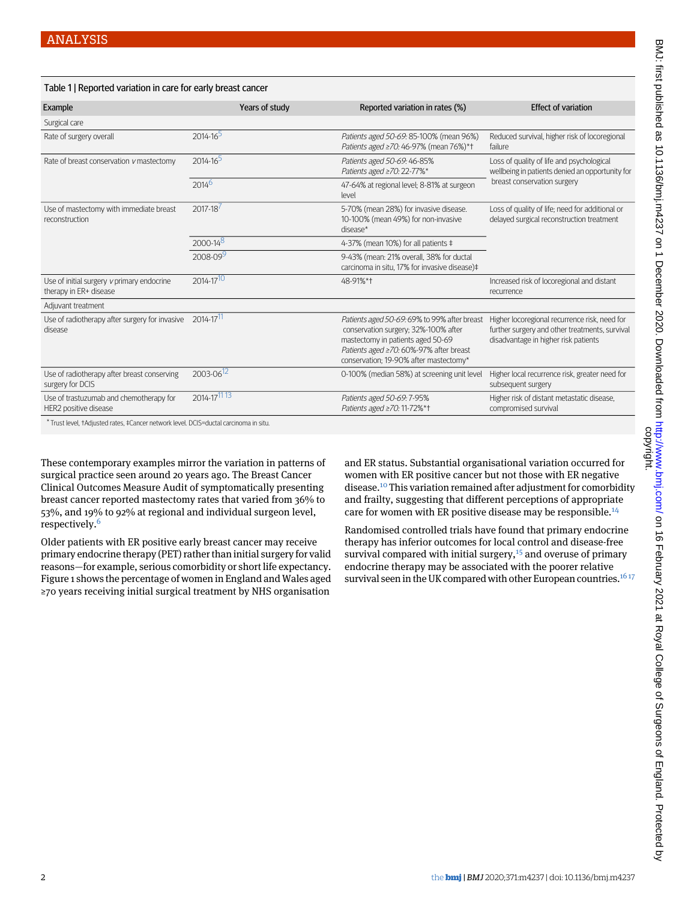<span id="page-1-0"></span>

| Table 1   Reported variation in care for early breast cancer                          |                          |                                                                                                                                                                                                                |                                                                                                                                         |
|---------------------------------------------------------------------------------------|--------------------------|----------------------------------------------------------------------------------------------------------------------------------------------------------------------------------------------------------------|-----------------------------------------------------------------------------------------------------------------------------------------|
| Example                                                                               | Years of study           | Reported variation in rates (%)                                                                                                                                                                                | <b>Effect of variation</b>                                                                                                              |
| Surgical care                                                                         |                          |                                                                                                                                                                                                                |                                                                                                                                         |
| Rate of surgery overall                                                               | $2014 - 16^{5}$          | Patients aged 50-69: 85-100% (mean 96%)<br>Patients aged ≥70: 46-97% (mean 76%)*†                                                                                                                              | Reduced survival, higher risk of locoregional<br>failure                                                                                |
| Rate of breast conservation v mastectomy                                              | 2014-16 <sup>5</sup>     | Patients aged 50-69: 46-85%<br>Patients aged ≥70: 22-77%*                                                                                                                                                      | Loss of quality of life and psychological<br>wellbeing in patients denied an opportunity for<br>breast conservation surgery             |
|                                                                                       | 2014 <sup>6</sup>        | 47-64% at regional level; 8-81% at surgeon<br>level                                                                                                                                                            |                                                                                                                                         |
| Use of mastectomy with immediate breast<br>reconstruction                             | $2017 - 18$              | 5-70% (mean 28%) for invasive disease.<br>10-100% (mean 49%) for non-invasive<br>disease*                                                                                                                      | Loss of quality of life; need for additional or<br>delayed surgical reconstruction treatment                                            |
|                                                                                       | 2000-14 <sup>8</sup>     | 4-37% (mean 10%) for all patients ‡                                                                                                                                                                            |                                                                                                                                         |
|                                                                                       | 2008-099                 | 9-43% (mean: 21% overall, 38% for ductal<br>carcinoma in situ. 17% for invasive disease)#                                                                                                                      |                                                                                                                                         |
| Use of initial surgery $v$ primary endocrine<br>therapy in ER+ disease                | 2014-1710                | 48-91%*1                                                                                                                                                                                                       | Increased risk of locoregional and distant<br>recurrence                                                                                |
| Adjuvant treatment                                                                    |                          |                                                                                                                                                                                                                |                                                                                                                                         |
| Use of radiotherapy after surgery for invasive<br>disease                             | $2014 - 17^{11}$         | Patients aged 50-69: 69% to 99% after breast<br>conservation surgery; 32%-100% after<br>mastectomy in patients aged 50-69<br>Patients aged ≥70: 60%-97% after breast<br>conservation; 19-90% after mastectomy* | Higher locoregional recurrence risk, need for<br>further surgery and other treatments, survival<br>disadvantage in higher risk patients |
| Use of radiotherapy after breast conserving<br>surgery for DCIS                       | 2003-06 <sup>12</sup>    | 0-100% (median 58%) at screening unit level                                                                                                                                                                    | Higher local recurrence risk, greater need for<br>subsequent surgery                                                                    |
| Use of trastuzumab and chemotherapy for<br>HER2 positive disease                      | 2014-17 <sup>11 13</sup> | Patients aged 50-69: 7-95%<br>Patients aged ≥70: 11-72%*†                                                                                                                                                      | Higher risk of distant metastatic disease,<br>compromised survival                                                                      |
| * Trust level, †Adjusted rates, ‡Cancer network level. DCIS=ductal carcinoma in situ. |                          |                                                                                                                                                                                                                |                                                                                                                                         |

These contemporary examples mirror the variation in patterns of surgical practice seen around 20 years ago. The Breast Cancer Clinical Outcomes Measure Audit of symptomatically presenting breast cancer reported mastectomy rates that varied from 36% to 53%, and 19% to 92% at regional and individual surgeon level, respectively.[6](#page-4-3)

Older patients with ER positive early breast cancer may receive primary endocrine therapy (PET) rather than initial surgery for valid reasons—for example, serious comorbidity or short life expectancy. Figure 1 shows the percentage of women in England and Wales aged ≥70 years receiving initial surgical treatment by NHS organisation

and ER status. Substantial organisational variation occurred for women with ER positive cancer but not those with ER negative disease.[10](#page-4-7) This variation remained after adjustment for comorbidity and frailty, suggesting that different perceptions of appropriate care for women with ER positive disease may be responsible.<sup>[14](#page-4-11)</sup>

Randomised controlled trials have found that primary endocrine therapy has inferior outcomes for local control and disease-free survival compared with initial surgery,  $15$  and overuse of primary endocrine therapy may be associated with the poorer relative survival seen in the UK compared with other European countries.<sup>[16](#page-4-13)17</sup>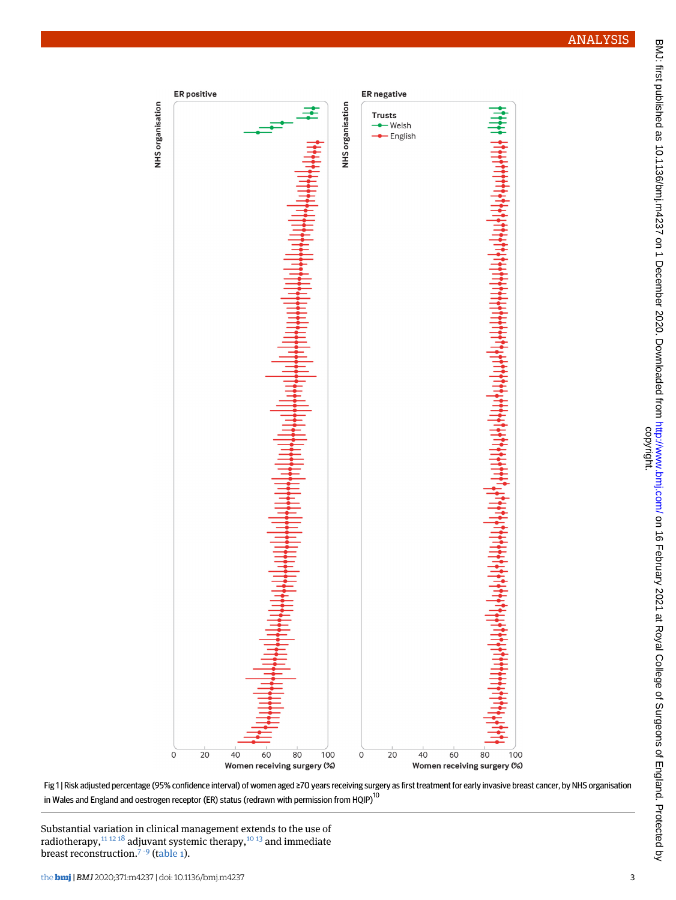

Fig 1 | Risk adjusted percentage (95% confidence interval) of women aged ≥70 years receiving surgery as first treatment for early invasive breast cancer, by NHS organisation in Wales and England and oestrogen receptor (ER) status (redrawn with permission from HQIP)<sup>10</sup>

Substantial variation in clinical management extends to the use of radiotherapy, $111218$  $111218$  adjuvant systemic therapy, $1013$  $1013$  and immediate breast reconstruction.<sup>[7](#page-4-4) [-](#page-4-5)[9](#page-4-6)</sup> (t[able 1](#page-1-0)).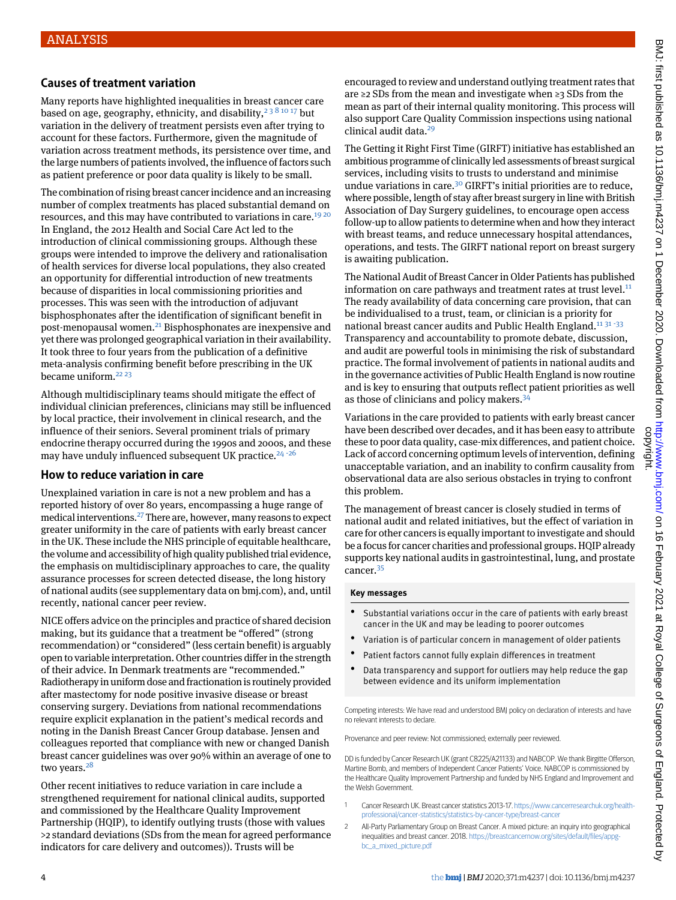# **Causes of treatment variation**

Many reports have highlighted inequalities in breast cancer care based on age, geography, ethnicity, and disability,  $2381017$  $2381017$  but variation in the delivery of treatment persists even after trying to account for these factors. Furthermore, given the magnitude of variation across treatment methods, its persistence over time, and the large numbers of patients involved, the influence of factors such as patient preference or poor data quality is likely to be small.

The combination of rising breast cancer incidence and an increasing number of complex treatments has placed substantial demand on resources, and this may have contributed to variations in care.<sup>[19](#page-4-16)20</sup> In England, the 2012 Health and Social Care Act led to the introduction of clinical commissioning groups. Although these groups were intended to improve the delivery and rationalisation of health services for diverse local populations, they also created an opportunity for differential introduction of new treatments because of disparities in local commissioning priorities and processes. This was seen with the introduction of adjuvant bisphosphonates after the identification of significant benefit in post-menopausal women.[21](#page-4-18) Bisphosphonates are inexpensive and yet there was prolonged geographical variation in their availability. It took three to four years from the publication of a definitive meta-analysis confirming benefit before prescribing in the UK became uniform.<sup>[22](#page-4-19) [23](#page-4-20)</sup>

Although multidisciplinary teams should mitigate the effect of individual clinician preferences, clinicians may still be influenced by local practice, their involvement in clinical research, and the influence of their seniors. Several prominent trials of primary endocrine therapy occurred during the 1990s and 2000s, and these may have unduly influenced subsequent UK practice.<sup>[24](#page-4-21) [-](#page-4-22)[26](#page-4-23)</sup>

## **How to reduce variation in care**

Unexplained variation in care is not a new problem and has a reported history of over 80 years, encompassing a huge range of medical interventions.[27](#page-4-24) There are, however, many reasons to expect greater uniformity in the care of patients with early breast cancer in the UK. These include the NHS principle of equitable healthcare, the volume and accessibility of high quality published trial evidence, the emphasis on multidisciplinary approaches to care, the quality assurance processes for screen detected disease, the long history of national audits (see supplementary data on bmj.com), and, until recently, national cancer peer review.

NICE offers advice on the principles and practice of shared decision making, but its guidance that a treatment be "offered" (strong recommendation) or "considered" (less certain benefit) is arguably open to variable interpretation. Other countries differ in the strength of their advice. In Denmark treatments are "recommended." Radiotherapy in uniform dose and fractionation is routinely provided after mastectomy for node positive invasive disease or breast conserving surgery. Deviations from national recommendations require explicit explanation in the patient's medical records and noting in the Danish Breast Cancer Group database. Jensen and colleagues reported that compliance with new or changed Danish breast cancer guidelines was over 90% within an average of one to two years.<sup>[28](#page-4-25)</sup>

Other recent initiatives to reduce variation in care include a strengthened requirement for national clinical audits, supported and commissioned by the Healthcare Quality Improvement Partnership (HQIP), to identify outlying trusts (those with values >2 standard deviations (SDs from the mean for agreed performance indicators for care delivery and outcomes)). Trusts will be

encouraged to review and understand outlying treatment rates that are ≥2 SDs from the mean and investigate when ≥3 SDs from the mean as part of their internal quality monitoring. This process will also support Care Quality Commission inspections using national clinical audit data.<sup>[29](#page-4-26)</sup>

The Getting it Right First Time (GIRFT) initiative has established an ambitious programme of clinically led assessments of breast surgical services, including visits to trusts to understand and minimise undue variations in care.<sup>[30](#page-4-27)</sup> GIRFT's initial priorities are to reduce, where possible, length of stay after breast surgery in line with British Association of Day Surgery guidelines, to encourage open access follow-up to allow patients to determine when and how they interact with breast teams, and reduce unnecessary hospital attendances, operations, and tests. The GIRFT national report on breast surgery is awaiting publication.

The National Audit of Breast Cancer in Older Patients has published information on care pathways and treatment rates at trust level. $11$ The ready availability of data concerning care provision, that can be individualised to a trust, team, or clinician is a priority for national breast cancer audits and Public Health England.<sup>[11](#page-4-8) [31](#page-4-28) [-](#page-4-29)[33](#page-4-30)</sup> Transparency and accountability to promote debate, discussion, and audit are powerful tools in minimising the risk of substandard practice. The formal involvement of patients in national audits and in the governance activities of Public Health England is now routine and is key to ensuring that outputs reflect patient priorities as well as those of clinicians and policy makers.<sup>[34](#page-4-31)</sup>

Variations in the care provided to patients with early breast cancer have been described over decades, and it has been easy to attribute these to poor data quality, case-mix differences, and patient choice. Lack of accord concerning optimum levels of intervention, defining unacceptable variation, and an inability to confirm causality from observational data are also serious obstacles in trying to confront this problem.

The management of breast cancer is closely studied in terms of national audit and related initiatives, but the effect of variation in care for other cancers is equally important to investigate and should be a focus for cancer charities and professional groups. HQIP already supports key national audits in gastrointestinal, lung, and prostate cancer.[35](#page-4-32)

#### **Key messages**

- Substantial variations occur in the care of patients with early breast cancer in the UK and may be leading to poorer outcomes
- Variation is of particular concern in management of older patients
- Patient factors cannot fully explain differences in treatment
- Data transparency and support for outliers may help reduce the gap between evidence and its uniform implementation

<span id="page-3-0"></span>Competing interests: We have read and understood BMJ policy on declaration of interests and have no relevant interests to declare.

<span id="page-3-1"></span>Provenance and peer review: Not commissioned; externally peer reviewed.

DD is funded by Cancer Research UK (grant C8225/A21133) and NABCOP. We thank Birgitte Offerson, Martine Bomb, and members of Independent Cancer Patients' Voice. NABCOP is commissioned by the Healthcare Quality Improvement Partnership and funded by NHS England and Improvement and the Welsh Government.

- 1 Cancer Research UK. Breast cancer statistics 2013-17. [https://www.cancerresearchuk.org/health](https://www.cancerresearchuk.org/health-professional/cancer-statistics/statistics-by-cancer-type/breast-cancer)[professional/cancer-statistics/statistics-by-cancer-type/breast-cancer](https://www.cancerresearchuk.org/health-professional/cancer-statistics/statistics-by-cancer-type/breast-cancer)
- 2 All-Party Parliamentary Group on Breast Cancer. A mixed picture: an inquiry into geographical inequalities and breast cancer. 2018. [https://breastcancernow.org/sites/default/files/appg](https://breastcancernow.org/sites/default/files/appgbc_a_mixed_picture.pdf)[bc\\_a\\_mixed\\_picture.pdf](https://breastcancernow.org/sites/default/files/appgbc_a_mixed_picture.pdf)